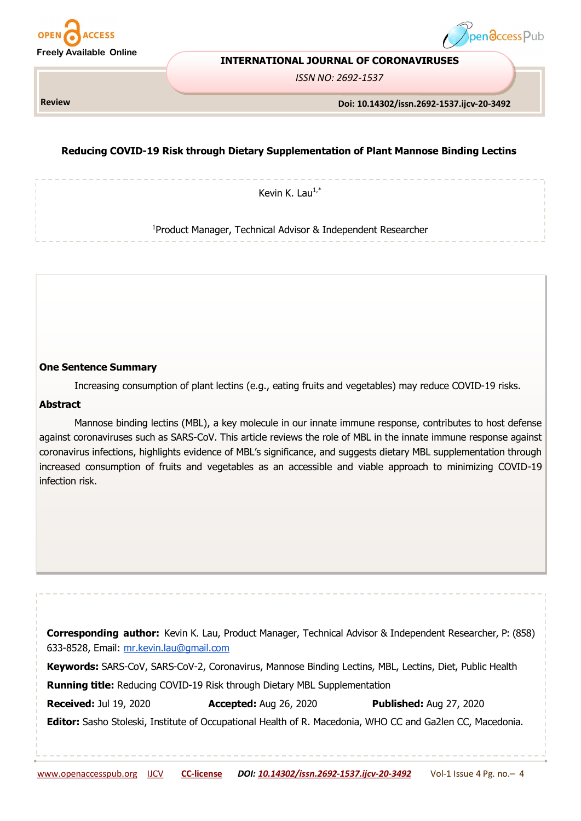



#### **INTERNATIONAL JOURNAL OF CORONAVIRUSES**

*ISSN NO: 2692-1537*

**Review** 

#### **Doi: 10.14302/issn.2692-1537.ijcv-20-3492**

# **Reducing COVID-19 Risk through Dietary Supplementation of Plant Mannose Binding Lectins**

Kevin K. Lau $1, *$ 

<sup>1</sup>Product Manager, Technical Advisor & Independent Researcher

### **One Sentence Summary**

Increasing consumption of plant lectins (e.g., eating fruits and vegetables) may reduce COVID-19 risks.

### **Abstract**

Mannose binding lectins (MBL), a key molecule in our innate immune response, contributes to host defense against coronaviruses such as SARS-CoV. This article reviews the role of MBL in the innate immune response against coronavirus infections, highlights evidence of MBL's significance, and suggests dietary MBL supplementation through increased consumption of fruits and vegetables as an accessible and viable approach to minimizing COVID-19 infection risk.

| 633-8528, Email: mr.kevin.lau@gmail.com |                                                                                  | <b>Corresponding author:</b> Kevin K. Lau, Product Manager, Technical Advisor & Independent Researcher, P: (858) |
|-----------------------------------------|----------------------------------------------------------------------------------|------------------------------------------------------------------------------------------------------------------|
|                                         |                                                                                  | Keywords: SARS-CoV, SARS-CoV-2, Coronavirus, Mannose Binding Lectins, MBL, Lectins, Diet, Public Health          |
|                                         | <b>Running title:</b> Reducing COVID-19 Risk through Dietary MBL Supplementation |                                                                                                                  |
| <b>Received: Jul 19, 2020</b>           | <b>Accepted:</b> Aug 26, 2020                                                    | <b>Published: Aug 27, 2020</b>                                                                                   |
|                                         |                                                                                  | Editor: Sasho Stoleski, Institute of Occupational Health of R. Macedonia, WHO CC and Ga2len CC, Macedonia.       |
|                                         |                                                                                  |                                                                                                                  |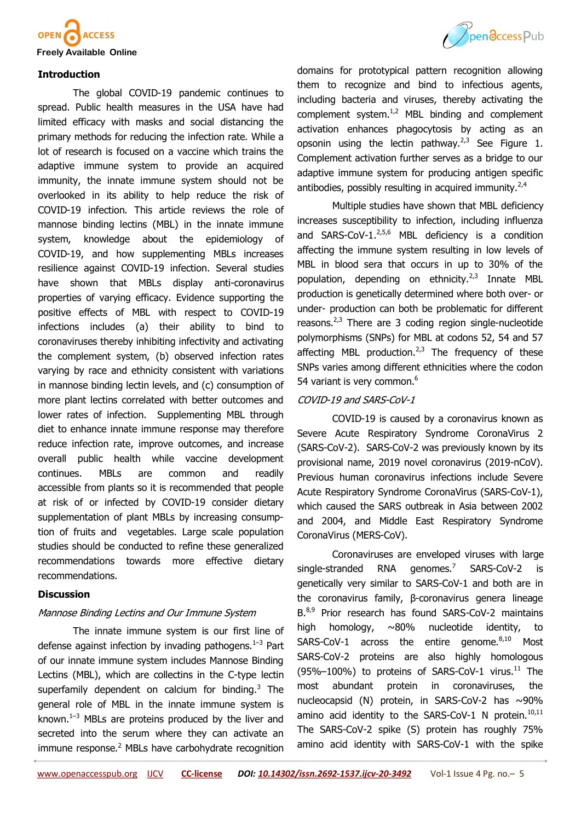

# **Introduction**

The global COVID-19 pandemic continues to spread. Public health measures in the USA have had limited efficacy with masks and social distancing the primary methods for reducing the infection rate. While a lot of research is focused on a vaccine which trains the adaptive immune system to provide an acquired immunity, the innate immune system should not be overlooked in its ability to help reduce the risk of COVID-19 infection. This article reviews the role of mannose binding lectins (MBL) in the innate immune system, knowledge about the epidemiology of COVID-19, and how supplementing MBLs increases resilience against COVID-19 infection. Several studies have shown that MBLs display anti-coronavirus properties of varying efficacy. Evidence supporting the positive effects of MBL with respect to COVID-19 infections includes (a) their ability to bind to coronaviruses thereby inhibiting infectivity and activating the complement system, (b) observed infection rates varying by race and ethnicity consistent with variations in mannose binding lectin levels, and (c) consumption of more plant lectins correlated with better outcomes and lower rates of infection. Supplementing MBL through diet to enhance innate immune response may therefore reduce infection rate, improve outcomes, and increase overall public health while vaccine development continues. MBLs are common and readily accessible from plants so it is recommended that people at risk of or infected by COVID-19 consider dietary supplementation of plant MBLs by increasing consumption of fruits and vegetables. Large scale population studies should be conducted to refine these generalized recommendations towards more effective dietary recommendations.

## **Discussion**

# Mannose Binding Lectins and Our Immune System

The [innate immune system](https://en.wikipedia.org/wiki/Innate_immune_system) is our first line of defense against infection by invading pathogens. $1-3$  Part of our innate immune system includes [Mannose Binding](https://en.wikipedia.org/wiki/Mannan-binding_lectin)  [Lectins](https://en.wikipedia.org/wiki/Mannan-binding_lectin) (MBL), which are [collectins](https://en.wikipedia.org/wiki/Collectin) in the C-[type lectin](https://en.wikipedia.org/wiki/C-type_lectin)  superfamily dependent on calcium for binding.<sup>[3](https://paperpile.com/c/iLsNry/C9Gu)</sup> The general role of MBL in the [innate immune system i](https://en.wikipedia.org/wiki/Innate_immune_system)s known. $1-3$  $1-3$  MBLs are proteins produced by the liver and secreted into the [serum](https://en.wikipedia.org/wiki/Serum_(blood)) where they can activate an immune response.<sup>[2](https://paperpile.com/c/iLsNry/z8Wj)</sup> MBLs have carbohydrate recognition



domains for prototypical pattern recognition allowing them to recognize and bind to infectious agents, including bacteria and viruses, thereby activating the [complement system.](https://en.wikipedia.org/wiki/Complement_system) $1/2$  MBL binding and complement activation enhances [phagocytosis b](https://en.wikipedia.org/wiki/Phagocytosis)y acting as an [opsonin](https://en.wikipedia.org/wiki/Opsonin) using the [lectin pathway.](https://en.wikipedia.org/wiki/Lectin_pathway)<sup>[2,3](https://paperpile.com/c/iLsNry/z8Wj+C9Gu)</sup> See Figure 1. Complement activation further serves as a bridge to our [adaptive immune system](https://en.wikipedia.org/wiki/Adaptive_immune_system) for producing antigen specific antibodies, possibly resulting in acquired immunity. $2,4$ 

Multiple studies have shown that MBL deficiency increases susceptibility to infection, including influenza and SARS-CoV-1.<sup>[2,5,6](https://paperpile.com/c/iLsNry/z8Wj+E3zA+P90E)</sup> MBL deficiency is a condition affecting the immune system resulting in low levels of MBL in blood sera that occurs in up to 30% of the population, depending on ethnicity. $2,3$  Innate MBL production is genetically determined where both over- or under- production can both be problematic for different reasons. $2,3$  There are 3 coding region single-nucleotide polymorphisms ([SNPs\)](https://en.wikipedia.org/wiki/Single-nucleotide_polymorphism) for MBL at codons 52, 54 and 57 affecting MBL production.<sup>[2,3](https://paperpile.com/c/iLsNry/z8Wj+C9Gu)</sup> The frequency of these SNPs varies among different ethnicities where the codon 54 variant is very common.<sup>[6](https://paperpile.com/c/iLsNry/P90E)</sup>

# COVID-19 and SARS-CoV-1

[COVID](https://en.wikipedia.org/wiki/Coronavirus_disease_2019)-19 is caused by a coronavirus known as [Severe Acute Respiratory Syndrome CoronaVirus 2](https://en.wikipedia.org/wiki/Severe_acute_respiratory_syndrome_coronavirus_2)  [\(SARS](https://en.wikipedia.org/wiki/Severe_acute_respiratory_syndrome_coronavirus_2)-CoV-2). SARS-CoV-2 was previously known by its provisional name, 2019 novel coronavirus (2019-nCoV). Previous human coronavirus infections include [Severe](https://en.wikipedia.org/wiki/Severe_acute_respiratory_syndrome_coronavirus)  [Acute Respiratory Syndrome CoronaVirus \(SARS](https://en.wikipedia.org/wiki/Severe_acute_respiratory_syndrome_coronavirus)-CoV-1), which caused the [SARS o](https://en.wikipedia.org/wiki/Severe_acute_respiratory_syndrome)utbreak in Asia between [2002](https://en.wikipedia.org/wiki/2002%E2%80%932004_SARS_outbreak)  [and 2004,](https://en.wikipedia.org/wiki/2002%E2%80%932004_SARS_outbreak) and [Middle East Respiratory Syndrome](https://en.wikipedia.org/wiki/Middle_East_respiratory_syndrome)  [CoronaVirus \(MERS](https://en.wikipedia.org/wiki/Middle_East_respiratory_syndrome)-CoV).

Coronaviruses are enveloped viruses with large single-stranded RNA genomes.<sup>7</sup> SARS-CoV-2 is genetically very similar to SARS-CoV-1 and both are in the coronavirus family, β-[coronavirus genera](https://en.wikipedia.org/wiki/Betacoronavirus) lineage B.<sup>[8,9](https://paperpile.com/c/iLsNry/b4Mf+kqM2)</sup> Prior research has found SARS-CoV-2 maintains high [homology,](https://en.wikipedia.org/wiki/Homology_(biology)) ~80% nucleotide identity, to SARS-CoV-1 across the entire genome. $8,10$  Most SARS-CoV-2 proteins are also highly homologous (95%–100%) to proteins of SARS-CoV-1 virus.<sup>[11](https://paperpile.com/c/iLsNry/JWTZ)</sup> The most abundant protein in coronaviruses, the [nucleocapsid \(N\) protein,](https://en.wikipedia.org/wiki/Nucleoprotein) in SARS-CoV-2 has  $\sim$ 90% amino acid identity to the SARS-CoV-1 N protein. $10,11$ The SARS-CoV-2 spike (S) protein has roughly 75% amino acid identity with SARS-CoV-1 with the spike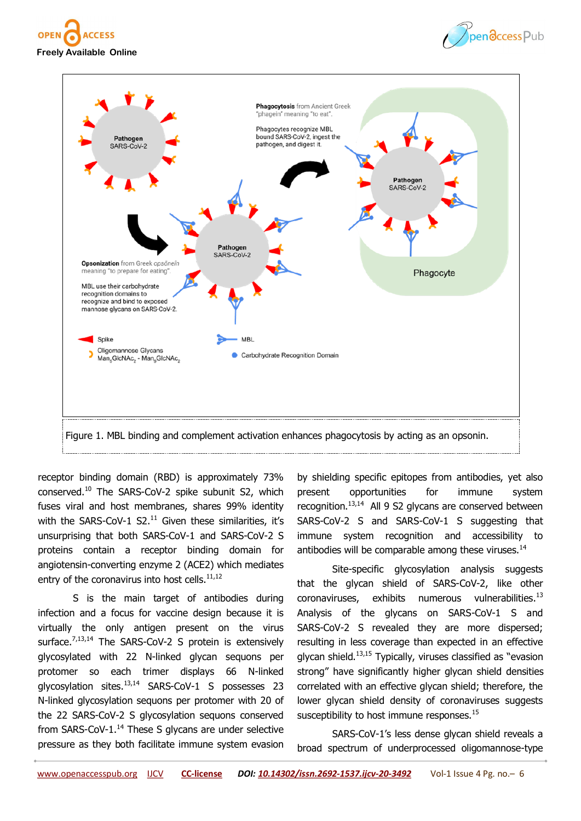





receptor binding domain (RBD) is approximately 73% conserved.[10](https://paperpile.com/c/iLsNry/sPBp) The SARS-CoV-2 spike subunit S2, which fuses viral and host membranes, shares 99% identity with the SARS-CoV-1 S2. $^{11}$  $^{11}$  $^{11}$  Given these similarities, it's unsurprising that both SARS-CoV-1 and SARS-CoV-2 S proteins contain a receptor binding domain for angiotensin-converting enzyme 2 (ACE2) which mediates entry of the coronavirus into host cells. $11,12$ 

S is the main target of antibodies during infection and a focus for vaccine design because it is virtually the only antigen present on the virus surface.<sup>[7,13,14](https://paperpile.com/c/iLsNry/wajE+PqgT+osMM)</sup> The SARS-CoV-2 S protein is extensively [glycosylated w](https://en.wikipedia.org/wiki/Glycosylation)ith 22 N-linked glycan sequons per [protomer s](https://en.wikipedia.org/wiki/Protomer)o each [trimer d](https://en.wikipedia.org/wiki/Protein_trimer)isplays 66 N-linked glycosylation sites.[13,14](https://paperpile.com/c/iLsNry/PqgT+osMM) SARS-CoV-1 S possesses 23 N-linked glycosylation sequons per protomer with 20 of the 22 SARS-CoV-2 S glycosylation sequons conserved from SARS-CoV- $1.^{14}$  $1.^{14}$  $1.^{14}$  These S glycans are under selective pressure as they both facilitate immune system evasion

by shielding specific [epitopes f](https://en.wikipedia.org/wiki/Epitope)rom antibodies, yet also present opportunities for immune system recognition.<sup>[13,14](https://paperpile.com/c/iLsNry/PqgT+osMM)</sup> All 9 S2 glycans are conserved between SARS-CoV-2 S and SARS-CoV-1 S suggesting that immune system recognition and accessibility to antibodies will be comparable among these viruses.<sup>[14](https://paperpile.com/c/iLsNry/osMM)</sup>

Site-specific glycosylation analysis suggests that the glycan shield of SARS-CoV-2, like other coronaviruses, exhibits numerous vulnerabilities. $^{13}$  $^{13}$  $^{13}$ Analysis of the glycans on SARS-CoV-1 S and SARS-CoV-2 S revealed they are more dispersed; resulting in less coverage than expected in an effective glycan shield.<sup>[13,15](https://paperpile.com/c/iLsNry/2N1g+PqgT)</sup> Typically, viruses classified as "evasion strong" have significantly higher glycan shield densities correlated with an effective glycan shield; therefore, the lower glycan shield density of coronaviruses suggests susceptibility to host immune responses.<sup>[15](https://paperpile.com/c/iLsNry/2N1g)</sup>

SARS-CoV-1's less dense glycan shield reveals a broad spectrum of underprocessed oligomannose-type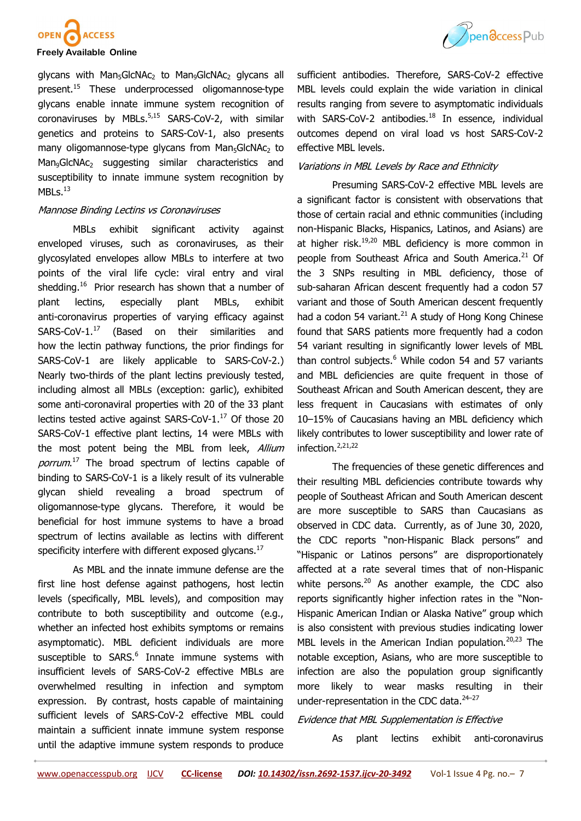

#### **Freely Available Online**

glycans with Man<sub>5</sub>GlcNAc<sub>2</sub> to Man<sub>9</sub>GlcNAc<sub>2</sub> glycans all present.[15](https://paperpile.com/c/iLsNry/2N1g) These underprocessed oligomannose-type glycans enable innate immune system recognition of coronaviruses by MBLs.<sup>[5,15](https://paperpile.com/c/iLsNry/2N1g+E3zA)</sup> SARS-CoV-2, with similar genetics and proteins to SARS-CoV-1, also presents many oligomannose-type glycans from Man<sub>5</sub>GlcNAc<sub>2</sub> to Man<sub>9</sub>GlcNAc<sub>2</sub> suggesting similar characteristics and susceptibility to innate immune system recognition by  $MBLs.<sup>13</sup>$  $MBLs.<sup>13</sup>$  $MBLs.<sup>13</sup>$ 

### Mannose Binding Lectins vs Coronaviruses

MBLs exhibit significant activity against enveloped viruses, such as coronaviruses, as their glycosylated envelopes allow MBLs to interfere at two points of the viral life cycle: [viral entry](https://en.wikipedia.org/wiki/Viral_entry) and [viral](https://en.wikipedia.org/wiki/Viral_shedding)  [shedding.](https://en.wikipedia.org/wiki/Viral_shedding)<sup>16</sup>Prior research has shown that a number of plant lectins, especially plant MBLs, exhibit anti-coronavirus properties of varying efficacy against SARS-CoV-1.<sup>[17](https://paperpile.com/c/iLsNry/XGlM)</sup> (Based on their similarities and how the [lectin pathway f](https://en.wikipedia.org/wiki/Lectin_pathway)unctions, the prior findings for SARS-CoV-1 are likely applicable to SARS-CoV-2.) Nearly two-thirds of the plant lectins previously tested, including almost all MBLs (exception: garlic), exhibited some anti-coronaviral properties with 20 of the 33 plant lectins tested active against SARS-CoV-1. $^{17}$  $^{17}$  $^{17}$  Of those 20 SARS-CoV-1 effective plant lectins, 14 were MBLs with the most potent being the MBL from leek, *Allium* porrum.<sup>[17](https://paperpile.com/c/iLsNry/XGlM)</sup> The broad spectrum of lectins capable of binding to SARS-CoV-1 is a likely result of its vulnerable glycan shield revealing a broad spectrum of oligomannose-type glycans. Therefore, it would be beneficial for host immune systems to have a broad spectrum of lectins available as lectins with different specificity interfere with different exposed glycans. $^{17}$  $^{17}$  $^{17}$ 

As MBL and the innate immune defense are the first line host defense against pathogens, host lectin levels (specifically, MBL levels), and composition may contribute to both susceptibility and outcome (e.g., whether an infected host exhibits symptoms or remains asymptomatic). MBL deficient individuals are more susceptible to SARS.<sup>[6](https://paperpile.com/c/iLsNry/P90E)</sup> Innate immune systems with insufficient levels of SARS-CoV-2 effective MBLs are overwhelmed resulting in infection and symptom expression. By contrast, hosts capable of maintaining sufficient levels of SARS-CoV-2 effective MBL could maintain a sufficient innate immune system response until the adaptive immune system responds to produce



sufficient antibodies. Therefore, SARS-CoV-2 effective MBL levels could explain the wide variation in clinical results ranging from severe to asymptomatic individuals with SARS-CoV-2 antibodies.<sup>[18](https://paperpile.com/c/iLsNry/l7LY)</sup> In essence, individual outcomes depend on [viral load v](https://en.wikipedia.org/wiki/Viral_load)s host SARS-CoV-2 effective MBL levels.

## Variations in MBL Levels by Race and Ethnicity

Presuming SARS-CoV-2 effective MBL levels are a significant factor is consistent with observations that those of certain racial and ethnic communities (including non-Hispanic Blacks, Hispanics, Latinos, and Asians) are at higher risk.<sup>[19,20](https://paperpile.com/c/iLsNry/Ad3A+3mPg)</sup> MBL deficiency is more common in people from Southeast Africa and South America.<sup>[21](https://paperpile.com/c/iLsNry/Lim6)</sup> Of the 3 SNPs resulting in MBL deficiency, those of sub-saharan African descent frequently had a codon 57 variant and those of South American descent frequently had a codon 54 variant. $^{21}$  $^{21}$  $^{21}$  A study of Hong Kong Chinese found that SARS patients more frequently had a codon 54 variant resulting in significantly lower levels of MBL than control subjects. $6$  While codon 54 and 57 variants and MBL deficiencies are quite frequent in those of Southeast African and South American descent, they are less frequent in Caucasians with estimates of only 10–15% of Caucasians having an MBL deficiency which likely contributes to lower susceptibility and lower rate of infection.<sup>[2,21,22](https://paperpile.com/c/iLsNry/Lim6+kxnT+z8Wj)</sup>

The frequencies of these genetic differences and their resulting MBL deficiencies contribute towards why people of Southeast African and South American descent are more susceptible to SARS than Caucasians as observed in CDC data. Currently, as of June 30, 2020, the CDC reports "non-Hispanic Black persons" and "Hispanic or Latinos persons" are disproportionately affected at a rate several times that of non-Hispanic white persons. $20$  As another example, the CDC also reports significantly higher infection rates in the "Non-Hispanic American Indian or Alaska Native" group which is also consistent with previous studies indicating lower MBL levels in the American Indian population.<sup>[20,23](https://paperpile.com/c/iLsNry/5Ehc+3mPg)</sup> The notable exception, Asians, who are more susceptible to infection are also the population group significantly more likely to wear masks resulting in their under-representation in the CDC data. $24-27$  $24-27$ 

## Evidence that MBL Supplementation is Effective

As plant lectins exhibit anti-coronavirus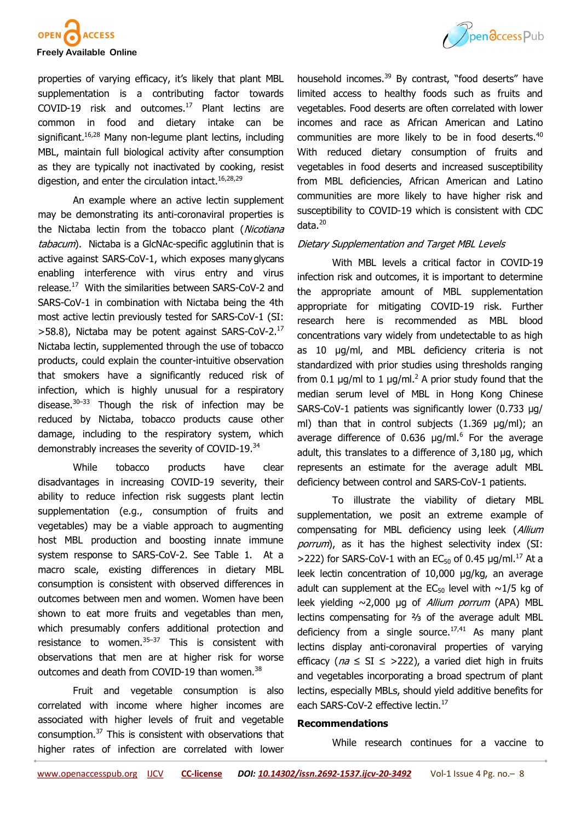

properties of varying efficacy, it's likely that plant MBL supplementation is a contributing factor towards COVID-19 risk and outcomes.[17](https://paperpile.com/c/iLsNry/XGlM) Plant lectins are common in food and dietary intake can be significant.<sup>[16,28](https://paperpile.com/c/iLsNry/hJK4+46J0)</sup> Many non-legume plant lectins, including MBL, maintain full biological activity after consumption as they are typically not inactivated by cooking, resist digestion, and enter the circulation intact.  $16,28,29$ 

An example where an active lectin supplement may be demonstrating its anti-coronaviral properties is the Nictaba lectin from the tobacco plant (Nicotiana [tabacum](https://en.wikipedia.org/wiki/Nicotiana_tabacum)). Nictaba is a GlcNAc-specific agglutinin that is active against SARS-CoV-1, which exposes manyglycans enabling interference with virus entry and virus release.<sup>[17](https://paperpile.com/c/iLsNry/XGlM)</sup> With the similarities between SARS-CoV-2 and SARS-CoV-1 in combination with Nictaba being the 4th most active lectin previously tested for SARS-CoV-1 (SI: >58.8), Nictaba may be potent against SARS-CoV-2.[17](https://paperpile.com/c/iLsNry/XGlM) Nictaba lectin, supplemented through the use of tobacco products, could explain the counter-intuitive observation that smokers have a significantly reduced risk of infection, which is highly unusual for a respiratory disease. $30-33$  $30-33$  Though the risk of infection may be reduced by Nictaba, tobacco products cause other damage, including to the respiratory system, which demonstrably increases the severity of COVID-19.[34](https://paperpile.com/c/iLsNry/zbdj)

While tobacco products have clear disadvantages in increasing COVID-19 severity, their ability to reduce infection risk suggests plant lectin supplementation (e.g., consumption of fruits and vegetables) may be a viable approach to augmenting host MBL production and boosting innate immune system response to SARS-CoV-2. See Table 1. At a macro scale, existing differences in dietary MBL consumption is consistent with observed differences in outcomes between men and women. Women have been shown to eat more fruits and vegetables than men, which presumably confers additional protection and resistance to women. $35-37$  $35-37$  This is consistent with observations that men are at higher risk for worse outcomes and death from COVID-19 than women.<sup>[38](https://paperpile.com/c/iLsNry/Gyui)</sup>

Fruit and vegetable consumption is also correlated with income where higher incomes are associated with higher levels of fruit and vegetable consumption.[37](https://paperpile.com/c/iLsNry/QvPS) This is consistent with observations that higher rates of infection are correlated with lower



### Dietary Supplementation and Target MBL Levels

With MBL levels a critical factor in COVID-19 infection risk and outcomes, it is important to determine the appropriate amount of MBL supplementation appropriate for mitigating COVID-19 risk. Further research here is recommended as MBL blood concentrations vary widely from undetectable to as high as 10 µg/ml, and MBL deficiency criteria is not standardized with prior studies using thresholds ranging from 0.1  $\mu q/ml$  to 1  $\mu q/ml$ . A prior study found that the median serum level of MBL in Hong Kong Chinese SARS-CoV-1 patients was significantly lower (0.733 µg/ ml) than that in control subjects (1.369 µg/ml); an average difference of  $0.636 \mu g/ml$  $0.636 \mu g/ml$  $0.636 \mu g/ml$ .<sup>6</sup> For the average adult, this translates to a difference of 3,180 µg, which represents an estimate for the average adult MBL deficiency between control and SARS-CoV-1 patients.

To illustrate the viability of dietary MBL supplementation, we posit an extreme example of compensating for MBL deficiency using leek (Allium porrum), as it has the highest selectivity index (SI:  $>$ 222) for SARS-CoV-1 with an EC<sub>50</sub> of 0.45  $\mu$ g/ml.<sup>[17](https://paperpile.com/c/iLsNry/XGlM)</sup> At a leek lectin concentration of 10,000 μg/kg, an average adult can supplement at the  $EC_{50}$  level with  $\sim$ 1/5 kg of leek yielding  $\sim$ 2,000 µg of *Allium porrum* (APA) MBL lectins compensating for ⅔ of the average adult MBL deficiency from a single source. $17,41$  As many plant lectins display anti-coronaviral properties of varying efficacy ( $na \leq SI \leq$  >222), a varied diet high in fruits and vegetables incorporating a broad spectrum of plant lectins, especially MBLs, should yield additive benefits for each SARS-CoV-2 effective lectin.<sup>[17](https://paperpile.com/c/iLsNry/XGlM)</sup>

## **Recommendations**

While research continues for a vaccine to

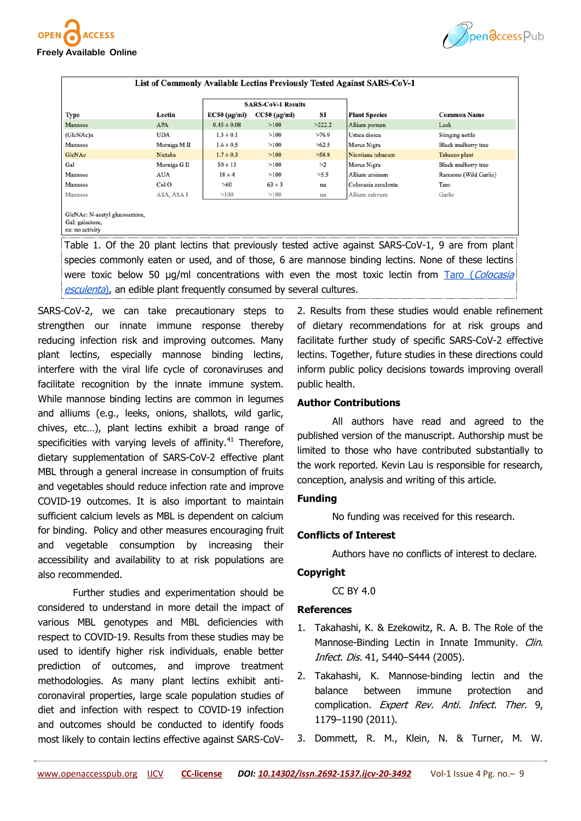



|                                                                     |              | <b>SARS-CoV-1 Results</b> |                      |        |                      |                       |
|---------------------------------------------------------------------|--------------|---------------------------|----------------------|--------|----------------------|-----------------------|
| Type                                                                | Lectin       | $EC50$ (µg/ml)            | $CC50$ ( $\mu$ g/ml) | SI     | <b>Plant Species</b> | <b>Common Name</b>    |
| Mannose                                                             | <b>APA</b>   | $0.45 \pm 0.08$           | >100                 | >222.2 | Allium porrum        | Leek                  |
| (GlcNAc)n                                                           | <b>UDA</b>   | $1.3 \pm 0.1$             | >100                 | >76.9  | Urtica dioica        | Stinging nettle       |
| Mannose                                                             | Morniga M II | $1.6 \pm 0.5$             | >100                 | >62.5  | Morus Nigra          | Black mulberry tree   |
| GlcNAc                                                              | Nictaba      | $1.7 \pm 0.3$             | >100                 | >58.8  | Nicotiana tabacum    | Tabacco plant         |
| Gal                                                                 | Morniga G II | $50 \pm 13$               | >100                 | >2     | Morus Nigra          | Black mulberry tree   |
| Mannose                                                             | AUA          | $18 \pm 4$                | >100                 | >5.5   | Allium ursinum       | Ramsons (Wild Garlic) |
| Mannose                                                             | Col O        | >60                       | $63 \pm 3$           | na     | Colocasia esculenta  | Taro                  |
| Mannose                                                             | ASA, ASA I   | >100                      | >100                 | na     | Allium sativum       | Garlic                |
| GlcNAc: N-acetyl glucosamine,<br>Gal: galactose,<br>na: no activity |              |                           |                      |        |                      |                       |

species commonly eaten or used, and of those, 6 are mannose binding lectins. None of these lectins were toxic below 50 μg/ml concentrations with even the most toxic lectin from Taro (Colocasia [esculenta](https://en.wikipedia.org/wiki/Taro)), an edible plant frequently consumed by several cultures.

SARS-CoV-2, we can take precautionary steps to strengthen our innate immune response thereby reducing infection risk and improving outcomes. Many plant lectins, especially mannose binding lectins, interfere with the viral life cycle of coronaviruses and facilitate recognition by the innate immune system. While mannose binding lectins are common in legumes and alliums (e.g., leeks, onions, shallots, wild garlic, chives, etc…), plant lectins exhibit a broad range of specificities with varying levels of affinity. $41$  Therefore, dietary supplementation of SARS-CoV-2 effective plant MBL through a general increase in consumption of fruits and vegetables should reduce infection rate and improve COVID-19 outcomes. It is also important to maintain sufficient calcium levels as MBL is dependent on calcium for binding. Policy and other measures encouraging fruit and vegetable consumption by increasing their accessibility and availability to at risk populations are also recommended.

Further studies and experimentation should be considered to understand in more detail the impact of various MBL genotypes and MBL deficiencies with respect to COVID-19. Results from these studies may be used to identify higher risk individuals, enable better prediction of outcomes, and improve treatment methodologies. As many plant lectins exhibit anticoronaviral properties, large scale population studies of diet and infection with respect to COVID-19 infection and outcomes should be conducted to identify foods most likely to contain lectins effective against SARS-CoV-

2. Results from these studies would enable refinement of dietary recommendations for at risk groups and facilitate further study of specific SARS-CoV-2 effective lectins. Together, future studies in these directions could inform public policy decisions towards improving overall public health.

## **Author Contributions**

All authors have read and agreed to the published version of the manuscript. Authorship must be limited to those who have contributed substantially to the work reported. Kevin Lau is responsible for research, conception, analysis and writing of this article.

### **Funding**

No funding was received for this research.

## **Conflicts of Interest**

Authors have no conflicts of interest to declare.

### **Copyright**

[CC BY 4.0](https://creativecommons.org/licenses/by/4.0/)

### **References**

- 1. [Takahashi, K. & Ezekowitz, R. A. B. The Role of the](http://paperpile.com/b/iLsNry/fSeq)  Mannose-[Binding Lectin in Innate Immunity.](http://paperpile.com/b/iLsNry/fSeq) Clin. [Infect. Dis.](http://paperpile.com/b/iLsNry/fSeq) [41, S440–S444 \(2005\).](http://paperpile.com/b/iLsNry/fSeq)
- 2. Takahashi, K. Mannose-[binding lectin and the](http://paperpile.com/b/iLsNry/z8Wj)  [balance between immune protection and](http://paperpile.com/b/iLsNry/z8Wj)  [complication.](http://paperpile.com/b/iLsNry/z8Wj) [Expert Rev. Anti. Infect. Ther.](http://paperpile.com/b/iLsNry/z8Wj) 9, 1179–[1190 \(2011\).](http://paperpile.com/b/iLsNry/z8Wj)
- 3. [Dommett, R. M., Klein, N. & Turner, M. W.](http://paperpile.com/b/iLsNry/C9Gu)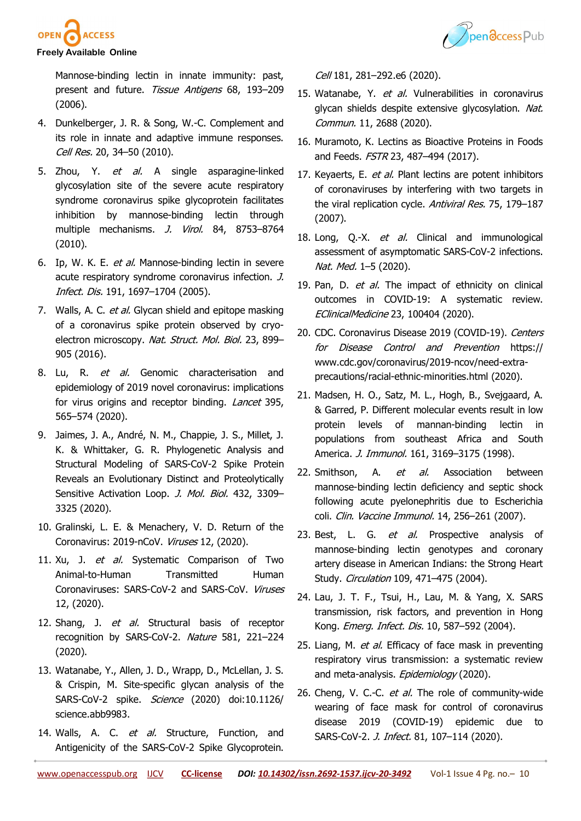



### **Freely Available Online**

Mannose-[binding lectin in innate immunity: past,](http://paperpile.com/b/iLsNry/C9Gu)  [present and future.](http://paperpile.com/b/iLsNry/C9Gu) [Tissue Antigens](http://paperpile.com/b/iLsNry/C9Gu) [68, 193](http://paperpile.com/b/iLsNry/C9Gu)-209 [\(2006\).](http://paperpile.com/b/iLsNry/C9Gu)

- 4. [Dunkelberger, J. R. & Song, W.](http://paperpile.com/b/iLsNry/oDyR)-C. Complement and [its role in innate and adaptive immune responses.](http://paperpile.com/b/iLsNry/oDyR)  [Cell Res.](http://paperpile.com/b/iLsNry/oDyR) [20,](http://paperpile.com/b/iLsNry/oDyR) 34–[50 \(2010\).](http://paperpile.com/b/iLsNry/oDyR)
- 5. [Zhou, Y.](http://paperpile.com/b/iLsNry/E3zA) *[et al.](http://paperpile.com/b/iLsNry/E3zA)* [A single asparagine](http://paperpile.com/b/iLsNry/E3zA)-linked [glycosylation site of the severe acute respiratory](http://paperpile.com/b/iLsNry/E3zA)  [syndrome coronavirus spike glycoprotein facilitates](http://paperpile.com/b/iLsNry/E3zA)  inhibition by mannose-[binding lectin through](http://paperpile.com/b/iLsNry/E3zA)  [multiple mechanisms.](http://paperpile.com/b/iLsNry/E3zA) [J. Virol.](http://paperpile.com/b/iLsNry/E3zA) [84, 8753](http://paperpile.com/b/iLsNry/E3zA)–8764 [\(2010\).](http://paperpile.com/b/iLsNry/E3zA)
- 6. [Ip, W. K. E.](http://paperpile.com/b/iLsNry/P90E) [et al.](http://paperpile.com/b/iLsNry/P90E) Mannose-[binding lectin in severe](http://paperpile.com/b/iLsNry/P90E)  [acute respiratory syndrome coronavirus infection.](http://paperpile.com/b/iLsNry/P90E) [J.](http://paperpile.com/b/iLsNry/P90E)  [Infect. Dis.](http://paperpile.com/b/iLsNry/P90E) [191,](http://paperpile.com/b/iLsNry/P90E) 1697–[1704 \(2005\).](http://paperpile.com/b/iLsNry/P90E)
- 7. [Walls, A. C.](http://paperpile.com/b/iLsNry/wajE) [et al.](http://paperpile.com/b/iLsNry/wajE) Glycan shield and epitope masking [of a coronavirus spike protein observed by cryo](http://paperpile.com/b/iLsNry/wajE)[electron microscopy.](http://paperpile.com/b/iLsNry/wajE) [Nat. Struct. Mol. Biol.](http://paperpile.com/b/iLsNry/wajE) [23, 899](http://paperpile.com/b/iLsNry/wajE)-[905 \(2016\).](http://paperpile.com/b/iLsNry/wajE)
- 8. [Lu, R.](http://paperpile.com/b/iLsNry/b4Mf) [et al.](http://paperpile.com/b/iLsNry/b4Mf) Genomic characterisation and [epidemiology of 2019 novel coronavirus: implications](http://paperpile.com/b/iLsNry/b4Mf)  [for virus origins and receptor binding.](http://paperpile.com/b/iLsNry/b4Mf) *[Lancet](http://paperpile.com/b/iLsNry/b4Mf)* 395, 565–[574 \(2020\).](http://paperpile.com/b/iLsNry/b4Mf)
- 9. [Jaimes, J. A., André, N. M., Chappie, J. S., Millet, J.](http://paperpile.com/b/iLsNry/kqM2)  [K. & Whittaker, G. R. Phylogenetic Analysis and](http://paperpile.com/b/iLsNry/kqM2)  [Structural Modeling of SARS](http://paperpile.com/b/iLsNry/kqM2)-CoV-2 Spike Protein [Reveals an Evolutionary Distinct and Proteolytically](http://paperpile.com/b/iLsNry/kqM2)  [Sensitive Activation Loop.](http://paperpile.com/b/iLsNry/kqM2) [J. Mol. Biol.](http://paperpile.com/b/iLsNry/kqM2) [432, 3309](http://paperpile.com/b/iLsNry/kqM2)-[3325 \(2020\).](http://paperpile.com/b/iLsNry/kqM2)
- 10. [Gralinski, L. E. & Menachery, V. D. Return of the](http://paperpile.com/b/iLsNry/sPBp)  [Coronavirus: 2019](http://paperpile.com/b/iLsNry/sPBp)-nCoV. [Viruses](http://paperpile.com/b/iLsNry/sPBp) [12, \(2020\).](http://paperpile.com/b/iLsNry/sPBp)
- 11. [Xu, J.](http://paperpile.com/b/iLsNry/JWTZ) [et al.](http://paperpile.com/b/iLsNry/JWTZ) Systematic Comparison of Two Animal-to-[Human Transmitted Human](http://paperpile.com/b/iLsNry/JWTZ)  [Coronaviruses: SARS](http://paperpile.com/b/iLsNry/JWTZ)-CoV-2 and SARS-CoV. [Viruses](http://paperpile.com/b/iLsNry/JWTZ) [12, \(2020\).](http://paperpile.com/b/iLsNry/JWTZ)
- 12. [Shang, J.](http://paperpile.com/b/iLsNry/3DGA) [et al.](http://paperpile.com/b/iLsNry/3DGA) Structural basis of receptor [recognition by SARS](http://paperpile.com/b/iLsNry/3DGA)-CoV-2. [Nature](http://paperpile.com/b/iLsNry/3DGA) [581, 221](http://paperpile.com/b/iLsNry/3DGA)–224 [\(2020\).](http://paperpile.com/b/iLsNry/3DGA)
- 13. [Watanabe, Y., Allen, J. D., Wrapp, D., McLellan, J. S.](http://paperpile.com/b/iLsNry/PqgT)  & Crispin, M. Site-[specific glycan analysis of the](http://paperpile.com/b/iLsNry/PqgT)  SARS-CoV-[2 spike.](http://paperpile.com/b/iLsNry/PqgT) [Science](http://paperpile.com/b/iLsNry/PqgT) [\(2020\) doi:1](http://paperpile.com/b/iLsNry/PqgT)[0.1126/](http://dx.doi.org/10.1126/science.abb9983) [science.abb9983](http://dx.doi.org/10.1126/science.abb9983)[.](http://paperpile.com/b/iLsNry/PqgT)
- 14. [Walls, A. C.](http://paperpile.com/b/iLsNry/osMM) [et al.](http://paperpile.com/b/iLsNry/osMM) Structure, Function, and [Antigenicity of the SARS](http://paperpile.com/b/iLsNry/osMM)-CoV-2 Spike Glycoprotein.

[Cell](http://paperpile.com/b/iLsNry/osMM) [181,](http://paperpile.com/b/iLsNry/osMM) 281-292.[e6 \(2020\).](http://paperpile.com/b/iLsNry/osMM)

- 15. [Watanabe, Y.](http://paperpile.com/b/iLsNry/2N1g) [et al.](http://paperpile.com/b/iLsNry/2N1g) Vulnerabilities in coronavirus [glycan shields despite extensive glycosylation.](http://paperpile.com/b/iLsNry/2N1g) Nat. [Commun.](http://paperpile.com/b/iLsNry/2N1g) [11, 2688 \(2020\).](http://paperpile.com/b/iLsNry/2N1g)
- 16. [Muramoto, K. Lectins as Bioactive Proteins in Foods](http://paperpile.com/b/iLsNry/46J0)  [and Feeds.](http://paperpile.com/b/iLsNry/46J0) [FSTR](http://paperpile.com/b/iLsNry/46J0) [23,](http://paperpile.com/b/iLsNry/46J0) 487-[494 \(2017\).](http://paperpile.com/b/iLsNry/46J0)
- 17. [Keyaerts, E.](http://paperpile.com/b/iLsNry/XGlM) [et al.](http://paperpile.com/b/iLsNry/XGlM) Plant lectins are potent inhibitors [of coronaviruses by interfering with two targets in](http://paperpile.com/b/iLsNry/XGlM)  [the viral replication cycle.](http://paperpile.com/b/iLsNry/XGlM) [Antiviral Res.](http://paperpile.com/b/iLsNry/XGlM) [75, 179](http://paperpile.com/b/iLsNry/XGlM)-187 [\(2007\).](http://paperpile.com/b/iLsNry/XGlM)
- 18. [Long, Q.](http://paperpile.com/b/iLsNry/l7LY)-X. [et al.](http://paperpile.com/b/iLsNry/l7LY) Clinical and immunological [assessment of asymptomatic SARS](http://paperpile.com/b/iLsNry/l7LY)-CoV-2 infections. [Nat. Med.](http://paperpile.com/b/iLsNry/l7LY) 1–[5 \(2020\).](http://paperpile.com/b/iLsNry/l7LY)
- 19. [Pan, D.](http://paperpile.com/b/iLsNry/Ad3A) [et al.](http://paperpile.com/b/iLsNry/Ad3A) The impact of ethnicity on clinical outcomes in COVID-[19: A systematic review.](http://paperpile.com/b/iLsNry/Ad3A)  [EClinicalMedicine](http://paperpile.com/b/iLsNry/Ad3A) [23, 100404 \(2020\).](http://paperpile.com/b/iLsNry/Ad3A)
- 20. [CDC. Coronavirus Disease 2019 \(COVID](http://paperpile.com/b/iLsNry/3mPg)-19). Centers [for Disease Control and Prevention](http://paperpile.com/b/iLsNry/3mPg) [https://](https://www.cdc.gov/coronavirus/2019-ncov/need-extra-precautions/racial-ethnic-minorities.html) [www.cdc.gov/coronavirus/2019](https://www.cdc.gov/coronavirus/2019-ncov/need-extra-precautions/racial-ethnic-minorities.html)-ncov/need-extra[precautions/racial](https://www.cdc.gov/coronavirus/2019-ncov/need-extra-precautions/racial-ethnic-minorities.html)-ethnic-minorities.html (2020).
- 21. [Madsen, H. O., Satz, M. L., Hogh, B., Svejgaard, A.](http://paperpile.com/b/iLsNry/Lim6)  [& Garred, P. Different molecular events result in low](http://paperpile.com/b/iLsNry/Lim6)  [protein levels of mannan](http://paperpile.com/b/iLsNry/Lim6)-binding lectin in [populations from southeast Africa and South](http://paperpile.com/b/iLsNry/Lim6)  [America.](http://paperpile.com/b/iLsNry/Lim6) *[J. Immunol.](http://paperpile.com/b/iLsNry/Lim6)* [161,](http://paperpile.com/b/iLsNry/Lim6) 3169-[3175 \(1998\).](http://paperpile.com/b/iLsNry/Lim6)
- 22. [Smithson, A.](http://paperpile.com/b/iLsNry/kxnT) [et al.](http://paperpile.com/b/iLsNry/kxnT) Association between mannose-[binding lectin deficiency and septic shock](http://paperpile.com/b/iLsNry/kxnT)  [following acute pyelonephritis due to Escherichia](http://paperpile.com/b/iLsNry/kxnT)  [coli.](http://paperpile.com/b/iLsNry/kxnT) [Clin. Vaccine Immunol.](http://paperpile.com/b/iLsNry/kxnT) [14,](http://paperpile.com/b/iLsNry/kxnT) 256–[261 \(2007\).](http://paperpile.com/b/iLsNry/kxnT)
- 23. [Best, L. G.](http://paperpile.com/b/iLsNry/5Ehc) [et al.](http://paperpile.com/b/iLsNry/5Ehc) Prospective analysis of mannose-[binding lectin genotypes and coronary](http://paperpile.com/b/iLsNry/5Ehc)  [artery disease in American Indians: the Strong Heart](http://paperpile.com/b/iLsNry/5Ehc)  [Study.](http://paperpile.com/b/iLsNry/5Ehc) [Circulation](http://paperpile.com/b/iLsNry/5Ehc) [109,](http://paperpile.com/b/iLsNry/5Ehc) 471–[475 \(2004\).](http://paperpile.com/b/iLsNry/5Ehc)
- 24. [Lau, J. T. F., Tsui, H., Lau, M. & Yang, X. SARS](http://paperpile.com/b/iLsNry/2X2t)  [transmission, risk factors, and prevention in Hong](http://paperpile.com/b/iLsNry/2X2t)  [Kong.](http://paperpile.com/b/iLsNry/2X2t) [Emerg. Infect. Dis.](http://paperpile.com/b/iLsNry/2X2t) [10,](http://paperpile.com/b/iLsNry/2X2t) 587–[592 \(2004\).](http://paperpile.com/b/iLsNry/2X2t)
- 25. [Liang, M.](http://paperpile.com/b/iLsNry/09Du) [et al.](http://paperpile.com/b/iLsNry/09Du) Efficacy of face mask in preventing [respiratory virus transmission: a systematic review](http://paperpile.com/b/iLsNry/09Du)  [and meta](http://paperpile.com/b/iLsNry/09Du)-analysis. [Epidemiology](http://paperpile.com/b/iLsNry/09Du) [\(2020\).](http://paperpile.com/b/iLsNry/09Du)
- 26. [Cheng, V. C.](http://paperpile.com/b/iLsNry/VnPp)-C. [et al.](http://paperpile.com/b/iLsNry/VnPp) [The role of community](http://paperpile.com/b/iLsNry/VnPp)-wide [wearing of face mask for control of coronavirus](http://paperpile.com/b/iLsNry/VnPp)  disease 2019 (COVID-[19\) epidemic due to](http://paperpile.com/b/iLsNry/VnPp)  [SARS](http://paperpile.com/b/iLsNry/VnPp)-CoV-2. *[J. Infect.](http://paperpile.com/b/iLsNry/VnPp)* [81,](http://paperpile.com/b/iLsNry/VnPp) 107-[114 \(2020\).](http://paperpile.com/b/iLsNry/VnPp)